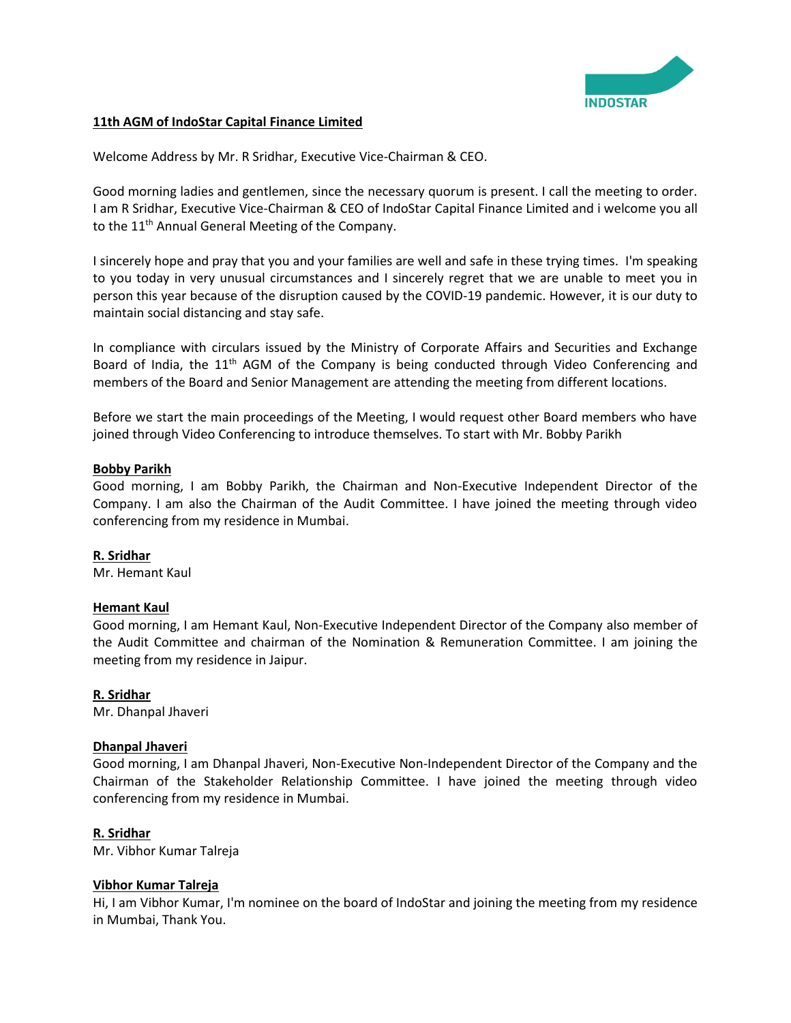

### **11th AGM of IndoStar Capital Finance Limited**

Welcome Address by Mr. R Sridhar, Executive Vice-Chairman & CEO.

Good morning ladies and gentlemen, since the necessary quorum is present. I call the meeting to order. I am R Sridhar, Executive Vice-Chairman & CEO of IndoStar Capital Finance Limited and i welcome you all to the 11<sup>th</sup> Annual General Meeting of the Company.

I sincerely hope and pray that you and your families are well and safe in these trying times. I'm speaking to you today in very unusual circumstances and I sincerely regret that we are unable to meet you in person this year because of the disruption caused by the COVID-19 pandemic. However, it is our duty to maintain social distancing and stay safe.

In compliance with circulars issued by the Ministry of Corporate Affairs and Securities and Exchange Board of India, the 11<sup>th</sup> AGM of the Company is being conducted through Video Conferencing and members of the Board and Senior Management are attending the meeting from different locations.

Before we start the main proceedings of the Meeting, I would request other Board members who have joined through Video Conferencing to introduce themselves. To start with Mr. Bobby Parikh

### **Bobby Parikh**

Good morning, I am Bobby Parikh, the Chairman and Non-Executive Independent Director of the Company. I am also the Chairman of the Audit Committee. I have joined the meeting through video conferencing from my residence in Mumbai.

#### **R. Sridhar**

Mr. Hemant Kaul

# **Hemant Kaul**

Good morning, I am Hemant Kaul, Non-Executive Independent Director of the Company also member of the Audit Committee and chairman of the Nomination & Remuneration Committee. I am joining the meeting from my residence in Jaipur.

# **R. Sridhar**

Mr. Dhanpal Jhaveri

# **Dhanpal Jhaveri**

Good morning, I am Dhanpal Jhaveri, Non-Executive Non-Independent Director of the Company and the Chairman of the Stakeholder Relationship Committee. I have joined the meeting through video conferencing from my residence in Mumbai.

#### **R. Sridhar**

Mr. Vibhor Kumar Talreja

#### **Vibhor Kumar Talreja**

Hi, I am Vibhor Kumar, I'm nominee on the board of IndoStar and joining the meeting from my residence in Mumbai, Thank You.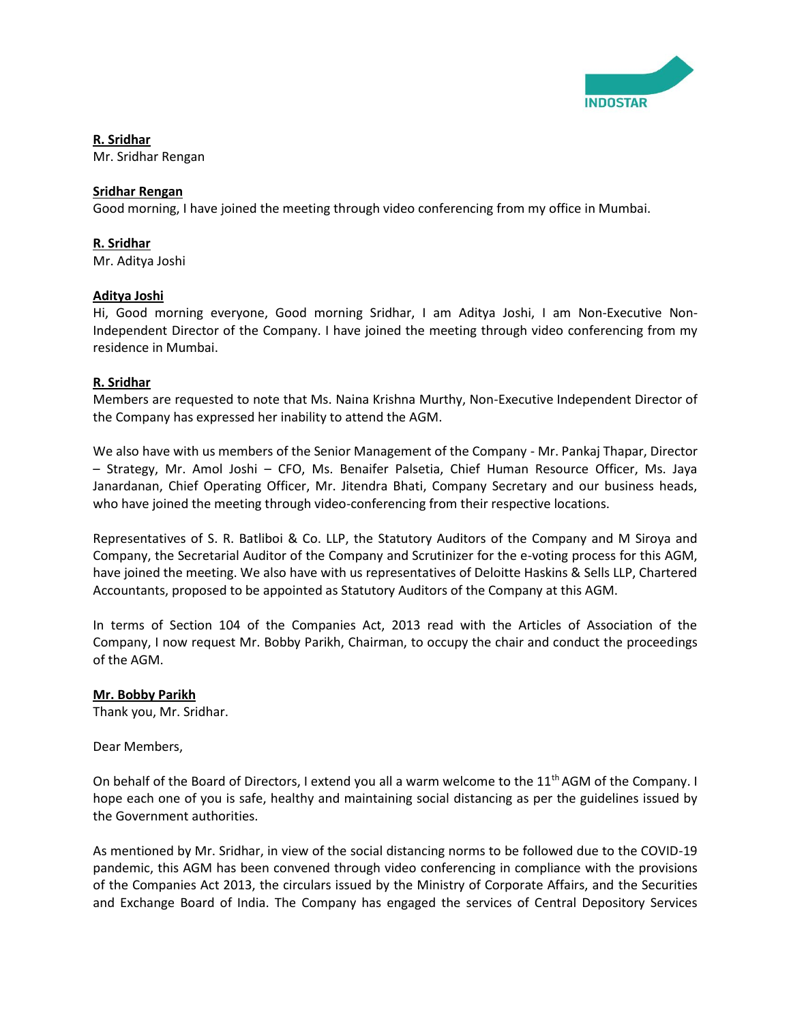

**R. Sridhar** Mr. Sridhar Rengan

# **Sridhar Rengan**

Good morning, I have joined the meeting through video conferencing from my office in Mumbai.

# **R. Sridhar**

Mr. Aditya Joshi

# **Aditya Joshi**

Hi, Good morning everyone, Good morning Sridhar, I am Aditya Joshi, I am Non-Executive Non-Independent Director of the Company. I have joined the meeting through video conferencing from my residence in Mumbai.

# **R. Sridhar**

Members are requested to note that Ms. Naina Krishna Murthy, Non-Executive Independent Director of the Company has expressed her inability to attend the AGM.

We also have with us members of the Senior Management of the Company - Mr. Pankaj Thapar, Director – Strategy, Mr. Amol Joshi – CFO, Ms. Benaifer Palsetia, Chief Human Resource Officer, Ms. Jaya Janardanan, Chief Operating Officer, Mr. Jitendra Bhati, Company Secretary and our business heads, who have joined the meeting through video-conferencing from their respective locations.

Representatives of S. R. Batliboi & Co. LLP, the Statutory Auditors of the Company and M Siroya and Company, the Secretarial Auditor of the Company and Scrutinizer for the e-voting process for this AGM, have joined the meeting. We also have with us representatives of Deloitte Haskins & Sells LLP, Chartered Accountants, proposed to be appointed as Statutory Auditors of the Company at this AGM.

In terms of Section 104 of the Companies Act, 2013 read with the Articles of Association of the Company, I now request Mr. Bobby Parikh, Chairman, to occupy the chair and conduct the proceedings of the AGM.

# **Mr. Bobby Parikh**

Thank you, Mr. Sridhar.

Dear Members,

On behalf of the Board of Directors, I extend you all a warm welcome to the 11<sup>th</sup> AGM of the Company. I hope each one of you is safe, healthy and maintaining social distancing as per the guidelines issued by the Government authorities.

As mentioned by Mr. Sridhar, in view of the social distancing norms to be followed due to the COVID-19 pandemic, this AGM has been convened through video conferencing in compliance with the provisions of the Companies Act 2013, the circulars issued by the Ministry of Corporate Affairs, and the Securities and Exchange Board of India. The Company has engaged the services of Central Depository Services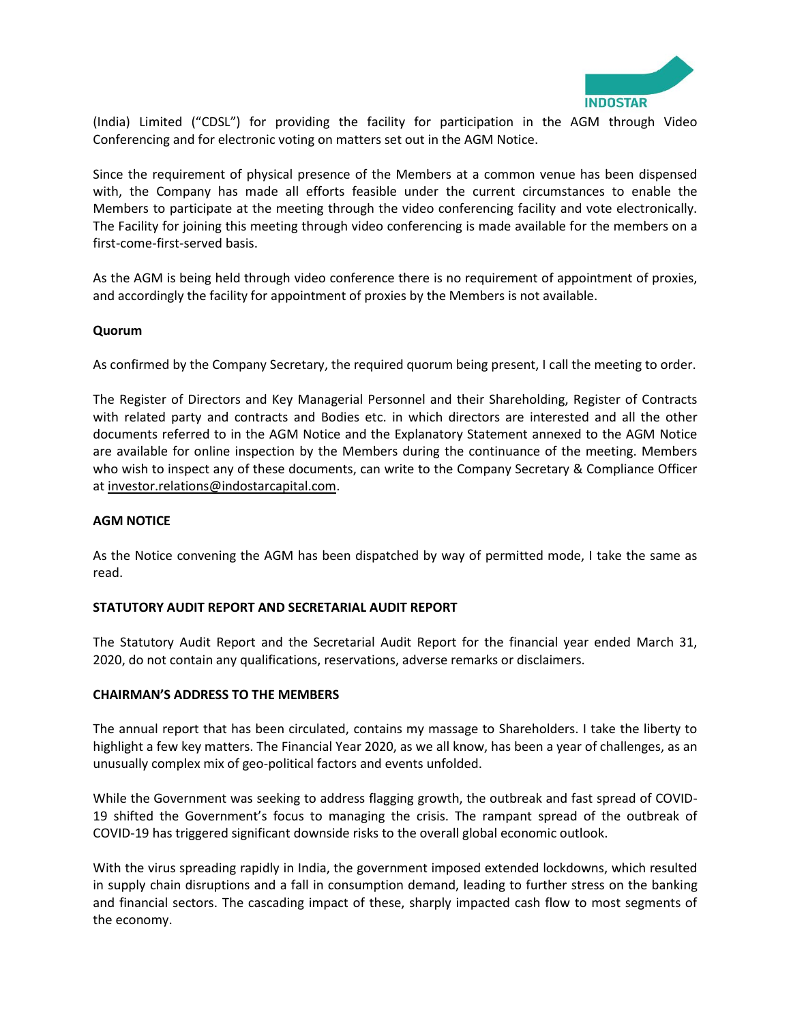

(India) Limited ("CDSL") for providing the facility for participation in the AGM through Video Conferencing and for electronic voting on matters set out in the AGM Notice.

Since the requirement of physical presence of the Members at a common venue has been dispensed with, the Company has made all efforts feasible under the current circumstances to enable the Members to participate at the meeting through the video conferencing facility and vote electronically. The Facility for joining this meeting through video conferencing is made available for the members on a first-come-first-served basis.

As the AGM is being held through video conference there is no requirement of appointment of proxies, and accordingly the facility for appointment of proxies by the Members is not available.

### **Quorum**

As confirmed by the Company Secretary, the required quorum being present, I call the meeting to order.

The Register of Directors and Key Managerial Personnel and their Shareholding, Register of Contracts with related party and contracts and Bodies etc. in which directors are interested and all the other documents referred to in the AGM Notice and the Explanatory Statement annexed to the AGM Notice are available for online inspection by the Members during the continuance of the meeting. Members who wish to inspect any of these documents, can write to the Company Secretary & Compliance Officer a[t investor.relations@indostarcapital.com.](mailto:investor.relations@indostarcapital.com)

#### **AGM NOTICE**

As the Notice convening the AGM has been dispatched by way of permitted mode, I take the same as read.

#### **STATUTORY AUDIT REPORT AND SECRETARIAL AUDIT REPORT**

The Statutory Audit Report and the Secretarial Audit Report for the financial year ended March 31, 2020, do not contain any qualifications, reservations, adverse remarks or disclaimers.

#### **CHAIRMAN'S ADDRESS TO THE MEMBERS**

The annual report that has been circulated, contains my massage to Shareholders. I take the liberty to highlight a few key matters. The Financial Year 2020, as we all know, has been a year of challenges, as an unusually complex mix of geo-political factors and events unfolded.

While the Government was seeking to address flagging growth, the outbreak and fast spread of COVID-19 shifted the Government's focus to managing the crisis. The rampant spread of the outbreak of COVID-19 has triggered significant downside risks to the overall global economic outlook.

With the virus spreading rapidly in India, the government imposed extended lockdowns, which resulted in supply chain disruptions and a fall in consumption demand, leading to further stress on the banking and financial sectors. The cascading impact of these, sharply impacted cash flow to most segments of the economy.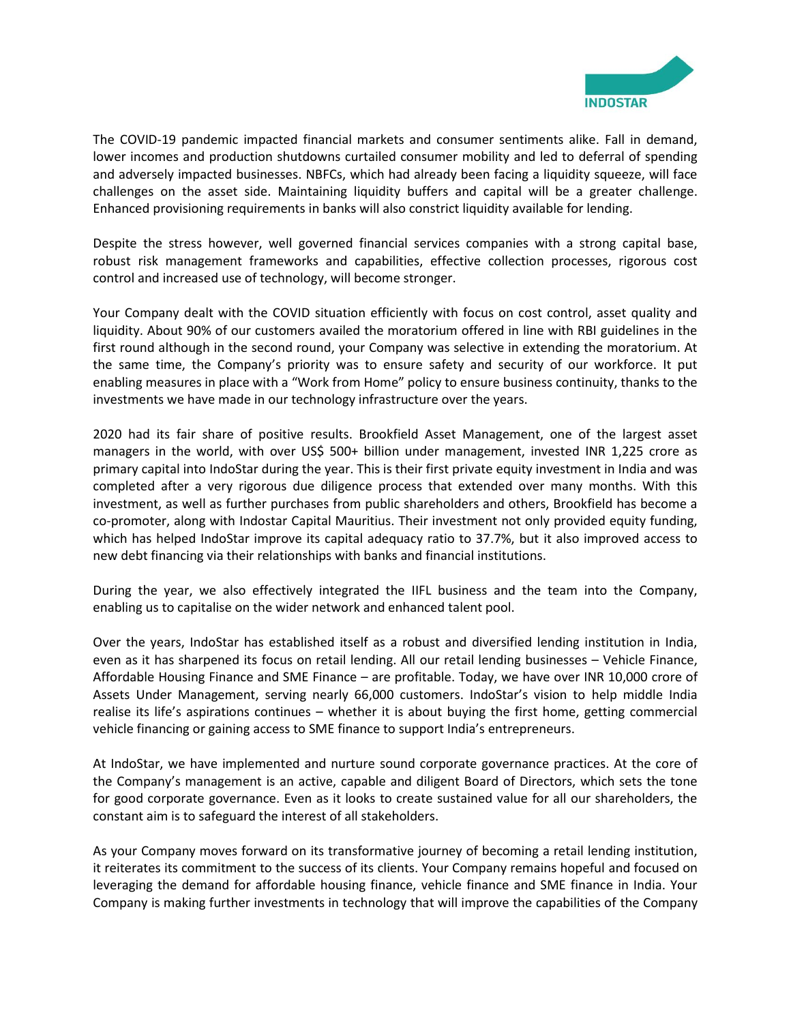

The COVID-19 pandemic impacted financial markets and consumer sentiments alike. Fall in demand, lower incomes and production shutdowns curtailed consumer mobility and led to deferral of spending and adversely impacted businesses. NBFCs, which had already been facing a liquidity squeeze, will face challenges on the asset side. Maintaining liquidity buffers and capital will be a greater challenge. Enhanced provisioning requirements in banks will also constrict liquidity available for lending.

Despite the stress however, well governed financial services companies with a strong capital base, robust risk management frameworks and capabilities, effective collection processes, rigorous cost control and increased use of technology, will become stronger.

Your Company dealt with the COVID situation efficiently with focus on cost control, asset quality and liquidity. About 90% of our customers availed the moratorium offered in line with RBI guidelines in the first round although in the second round, your Company was selective in extending the moratorium. At the same time, the Company's priority was to ensure safety and security of our workforce. It put enabling measures in place with a "Work from Home" policy to ensure business continuity, thanks to the investments we have made in our technology infrastructure over the years.

2020 had its fair share of positive results. Brookfield Asset Management, one of the largest asset managers in the world, with over US\$ 500+ billion under management, invested INR 1,225 crore as primary capital into IndoStar during the year. This is their first private equity investment in India and was completed after a very rigorous due diligence process that extended over many months. With this investment, as well as further purchases from public shareholders and others, Brookfield has become a co-promoter, along with Indostar Capital Mauritius. Their investment not only provided equity funding, which has helped IndoStar improve its capital adequacy ratio to 37.7%, but it also improved access to new debt financing via their relationships with banks and financial institutions.

During the year, we also effectively integrated the IIFL business and the team into the Company, enabling us to capitalise on the wider network and enhanced talent pool.

Over the years, IndoStar has established itself as a robust and diversified lending institution in India, even as it has sharpened its focus on retail lending. All our retail lending businesses – Vehicle Finance, Affordable Housing Finance and SME Finance – are profitable. Today, we have over INR 10,000 crore of Assets Under Management, serving nearly 66,000 customers. IndoStar's vision to help middle India realise its life's aspirations continues – whether it is about buying the first home, getting commercial vehicle financing or gaining access to SME finance to support India's entrepreneurs.

At IndoStar, we have implemented and nurture sound corporate governance practices. At the core of the Company's management is an active, capable and diligent Board of Directors, which sets the tone for good corporate governance. Even as it looks to create sustained value for all our shareholders, the constant aim is to safeguard the interest of all stakeholders.

As your Company moves forward on its transformative journey of becoming a retail lending institution, it reiterates its commitment to the success of its clients. Your Company remains hopeful and focused on leveraging the demand for affordable housing finance, vehicle finance and SME finance in India. Your Company is making further investments in technology that will improve the capabilities of the Company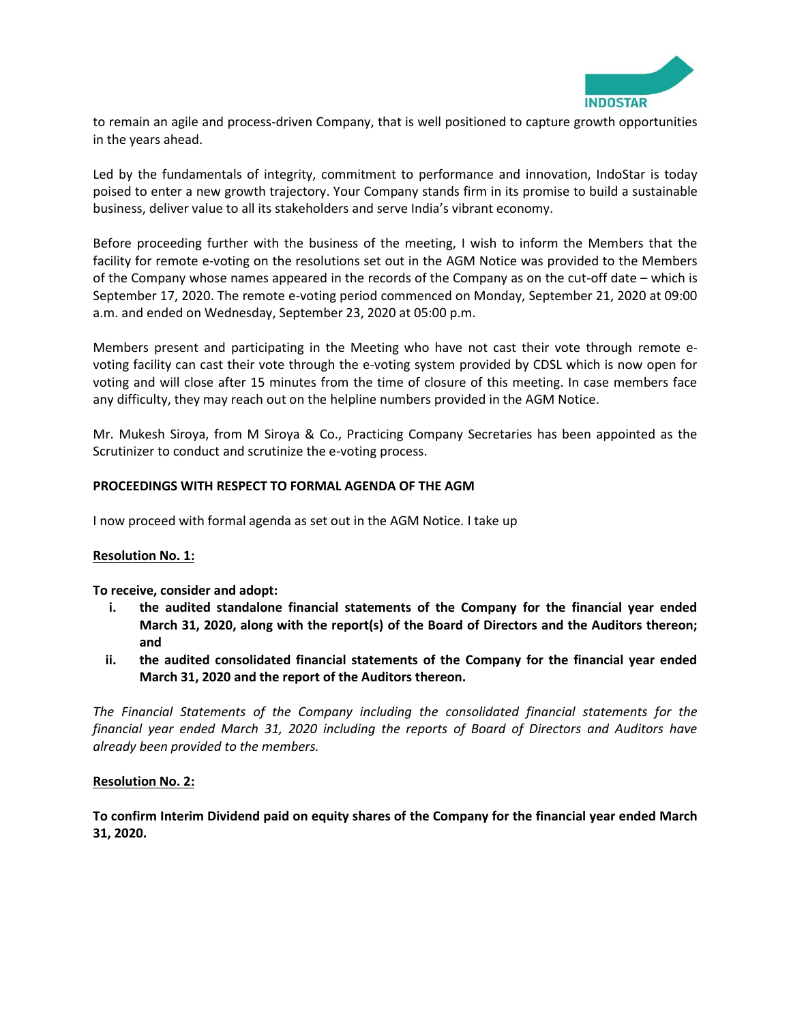

to remain an agile and process-driven Company, that is well positioned to capture growth opportunities in the years ahead.

Led by the fundamentals of integrity, commitment to performance and innovation, IndoStar is today poised to enter a new growth trajectory. Your Company stands firm in its promise to build a sustainable business, deliver value to all its stakeholders and serve India's vibrant economy.

Before proceeding further with the business of the meeting, I wish to inform the Members that the facility for remote e-voting on the resolutions set out in the AGM Notice was provided to the Members of the Company whose names appeared in the records of the Company as on the cut-off date – which is September 17, 2020. The remote e-voting period commenced on Monday, September 21, 2020 at 09:00 a.m. and ended on Wednesday, September 23, 2020 at 05:00 p.m.

Members present and participating in the Meeting who have not cast their vote through remote evoting facility can cast their vote through the e-voting system provided by CDSL which is now open for voting and will close after 15 minutes from the time of closure of this meeting. In case members face any difficulty, they may reach out on the helpline numbers provided in the AGM Notice.

Mr. Mukesh Siroya, from M Siroya & Co., Practicing Company Secretaries has been appointed as the Scrutinizer to conduct and scrutinize the e-voting process.

### **PROCEEDINGS WITH RESPECT TO FORMAL AGENDA OF THE AGM**

I now proceed with formal agenda as set out in the AGM Notice. I take up

#### **Resolution No. 1:**

**To receive, consider and adopt:** 

- **i. the audited standalone financial statements of the Company for the financial year ended March 31, 2020, along with the report(s) of the Board of Directors and the Auditors thereon; and**
- **ii. the audited consolidated financial statements of the Company for the financial year ended March 31, 2020 and the report of the Auditors thereon.**

*The Financial Statements of the Company including the consolidated financial statements for the financial year ended March 31, 2020 including the reports of Board of Directors and Auditors have already been provided to the members.*

#### **Resolution No. 2:**

**To confirm Interim Dividend paid on equity shares of the Company for the financial year ended March 31, 2020.**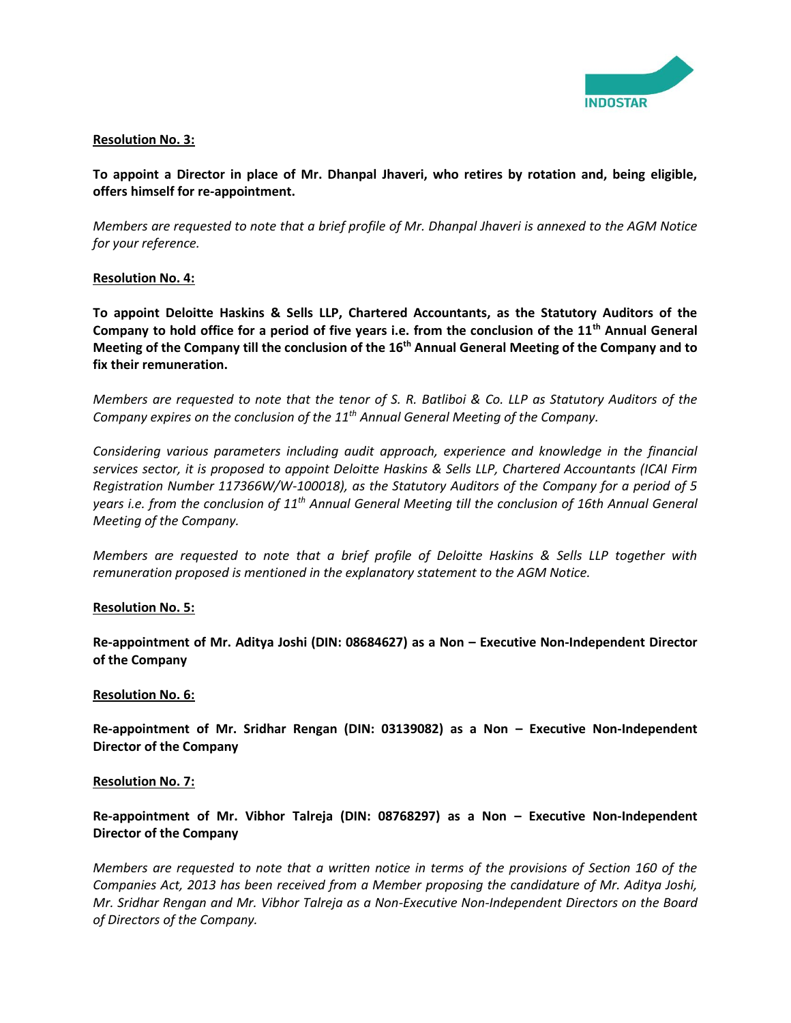

### **Resolution No. 3:**

**To appoint a Director in place of Mr. Dhanpal Jhaveri, who retires by rotation and, being eligible, offers himself for re-appointment.**

*Members are requested to note that a brief profile of Mr. Dhanpal Jhaveri is annexed to the AGM Notice for your reference.* 

#### **Resolution No. 4:**

**To appoint Deloitte Haskins & Sells LLP, Chartered Accountants, as the Statutory Auditors of the Company to hold office for a period of five years i.e. from the conclusion of the 11th Annual General Meeting of the Company till the conclusion of the 16th Annual General Meeting of the Company and to fix their remuneration.** 

*Members are requested to note that the tenor of S. R. Batliboi & Co. LLP as Statutory Auditors of the Company expires on the conclusion of the 11th Annual General Meeting of the Company.*

*Considering various parameters including audit approach, experience and knowledge in the financial services sector, it is proposed to appoint Deloitte Haskins & Sells LLP, Chartered Accountants (ICAI Firm Registration Number 117366W/W-100018), as the Statutory Auditors of the Company for a period of 5 years i.e. from the conclusion of 11th Annual General Meeting till the conclusion of 16th Annual General Meeting of the Company.*

*Members are requested to note that a brief profile of Deloitte Haskins & Sells LLP together with remuneration proposed is mentioned in the explanatory statement to the AGM Notice.* 

#### **Resolution No. 5:**

**Re-appointment of Mr. Aditya Joshi (DIN: 08684627) as a Non – Executive Non-Independent Director of the Company** 

#### **Resolution No. 6:**

**Re-appointment of Mr. Sridhar Rengan (DIN: 03139082) as a Non – Executive Non-Independent Director of the Company** 

#### **Resolution No. 7:**

# **Re-appointment of Mr. Vibhor Talreja (DIN: 08768297) as a Non – Executive Non-Independent Director of the Company**

*Members are requested to note that a written notice in terms of the provisions of Section 160 of the Companies Act, 2013 has been received from a Member proposing the candidature of Mr. Aditya Joshi, Mr. Sridhar Rengan and Mr. Vibhor Talreja as a Non-Executive Non-Independent Directors on the Board of Directors of the Company.*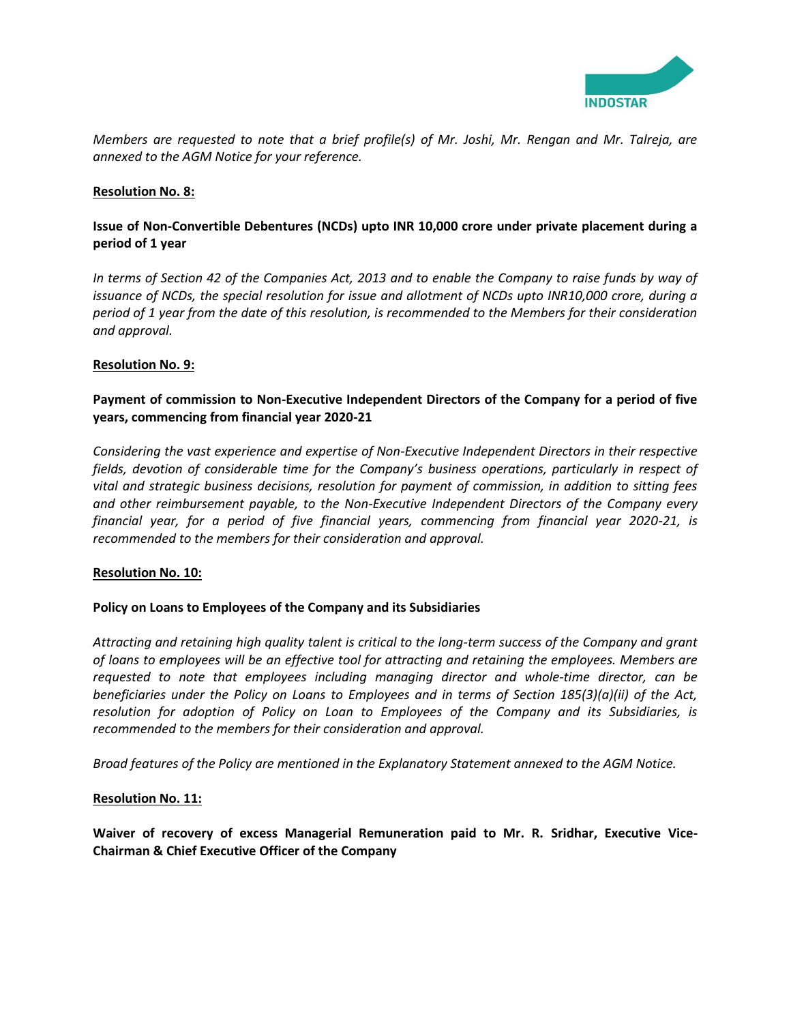

*Members are requested to note that a brief profile(s) of Mr. Joshi, Mr. Rengan and Mr. Talreja, are annexed to the AGM Notice for your reference.* 

### **Resolution No. 8:**

# **Issue of Non-Convertible Debentures (NCDs) upto INR 10,000 crore under private placement during a period of 1 year**

*In terms of Section 42 of the Companies Act, 2013 and to enable the Company to raise funds by way of issuance of NCDs, the special resolution for issue and allotment of NCDs upto INR10,000 crore, during a period of 1 year from the date of this resolution, is recommended to the Members for their consideration and approval.*

### **Resolution No. 9:**

# **Payment of commission to Non-Executive Independent Directors of the Company for a period of five years, commencing from financial year 2020-21**

*Considering the vast experience and expertise of Non-Executive Independent Directors in their respective fields, devotion of considerable time for the Company's business operations, particularly in respect of vital and strategic business decisions, resolution for payment of commission, in addition to sitting fees and other reimbursement payable, to the Non-Executive Independent Directors of the Company every financial year, for a period of five financial years, commencing from financial year 2020-21, is recommended to the members for their consideration and approval.* 

# **Resolution No. 10:**

# **Policy on Loans to Employees of the Company and its Subsidiaries**

*Attracting and retaining high quality talent is critical to the long-term success of the Company and grant of loans to employees will be an effective tool for attracting and retaining the employees. Members are requested to note that employees including managing director and whole-time director, can be beneficiaries under the Policy on Loans to Employees and in terms of Section 185(3)(a)(ii) of the Act, resolution for adoption of Policy on Loan to Employees of the Company and its Subsidiaries, is recommended to the members for their consideration and approval.*

*Broad features of the Policy are mentioned in the Explanatory Statement annexed to the AGM Notice.*

#### **Resolution No. 11:**

**Waiver of recovery of excess Managerial Remuneration paid to Mr. R. Sridhar, Executive Vice-Chairman & Chief Executive Officer of the Company**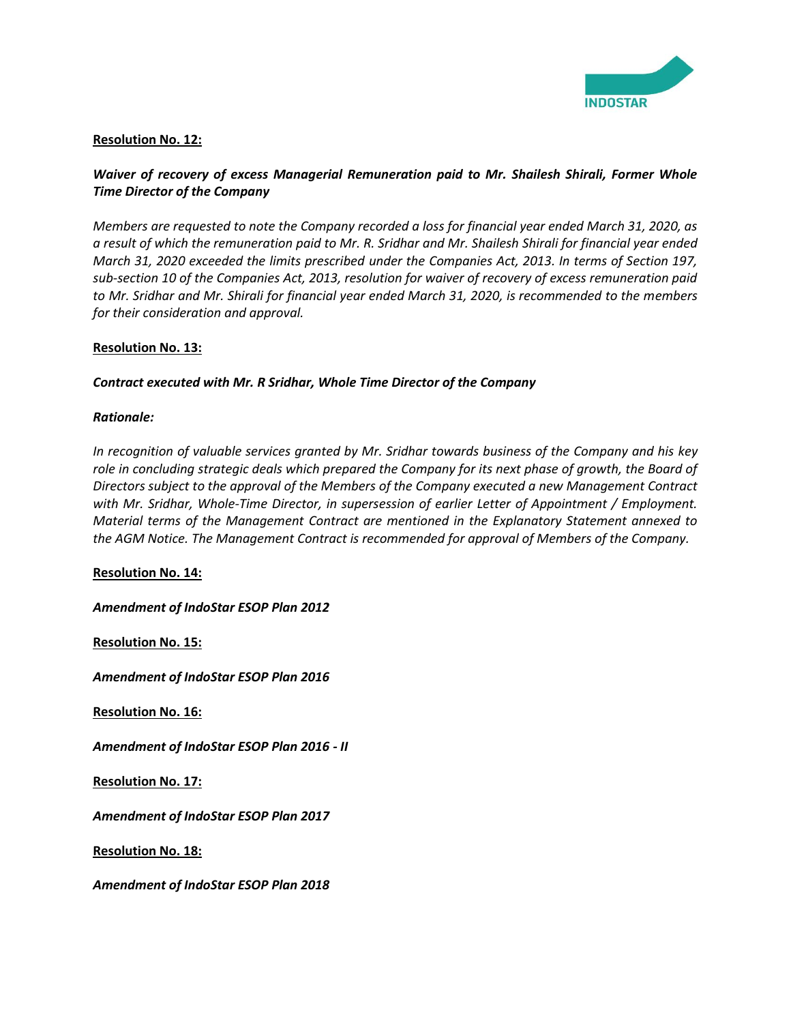

# **Resolution No. 12:**

# *Waiver of recovery of excess Managerial Remuneration paid to Mr. Shailesh Shirali, Former Whole Time Director of the Company*

*Members are requested to note the Company recorded a loss for financial year ended March 31, 2020, as a result of which the remuneration paid to Mr. R. Sridhar and Mr. Shailesh Shirali for financial year ended March 31, 2020 exceeded the limits prescribed under the Companies Act, 2013. In terms of Section 197, sub-section 10 of the Companies Act, 2013, resolution for waiver of recovery of excess remuneration paid to Mr. Sridhar and Mr. Shirali for financial year ended March 31, 2020, is recommended to the members for their consideration and approval.*

### **Resolution No. 13:**

### *Contract executed with Mr. R Sridhar, Whole Time Director of the Company*

### *Rationale:*

*In recognition of valuable services granted by Mr. Sridhar towards business of the Company and his key*  role in concluding strategic deals which prepared the Company for its next phase of growth, the Board of *Directors subject to the approval of the Members of the Company executed a new Management Contract with Mr. Sridhar, Whole-Time Director, in supersession of earlier Letter of Appointment / Employment. Material terms of the Management Contract are mentioned in the Explanatory Statement annexed to the AGM Notice. The Management Contract is recommended for approval of Members of the Company.*

#### **Resolution No. 14:**

*Amendment of IndoStar ESOP Plan 2012*

**Resolution No. 15:**

*Amendment of IndoStar ESOP Plan 2016*

**Resolution No. 16:**

*Amendment of IndoStar ESOP Plan 2016 - II*

**Resolution No. 17:**

*Amendment of IndoStar ESOP Plan 2017* 

**Resolution No. 18:**

*Amendment of IndoStar ESOP Plan 2018*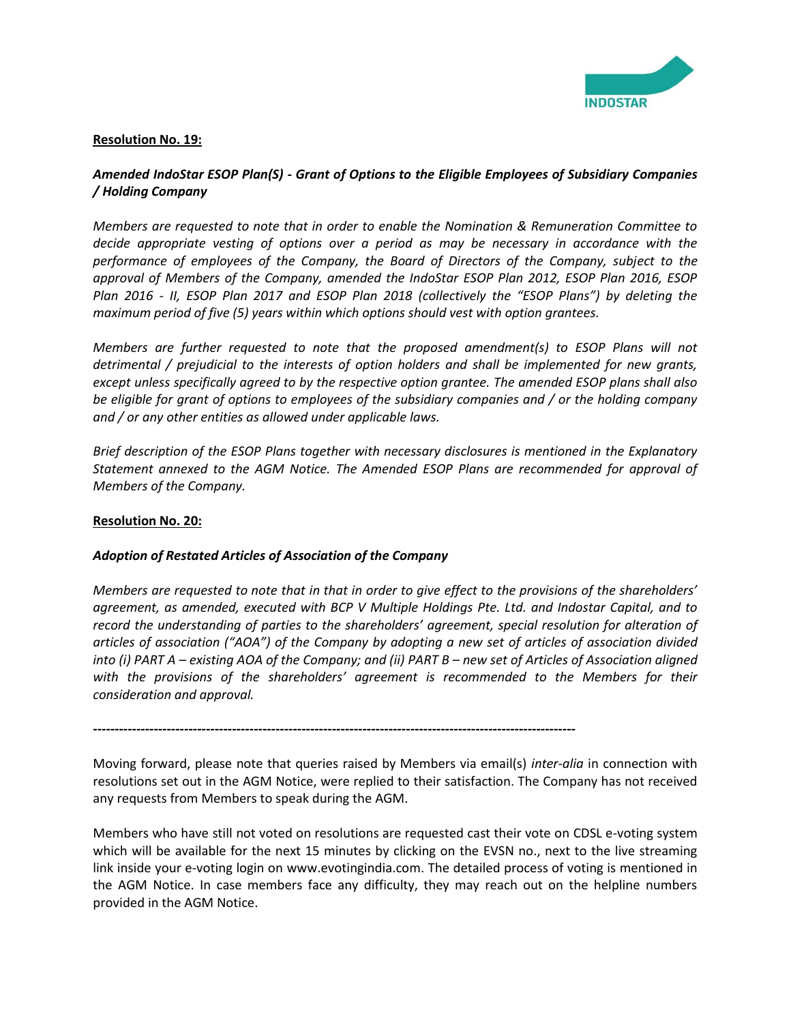

### **Resolution No. 19:**

# *Amended IndoStar ESOP Plan(S) - Grant of Options to the Eligible Employees of Subsidiary Companies / Holding Company*

*Members are requested to note that in order to enable the Nomination & Remuneration Committee to decide appropriate vesting of options over a period as may be necessary in accordance with the performance of employees of the Company, the Board of Directors of the Company, subject to the approval of Members of the Company, amended the IndoStar ESOP Plan 2012, ESOP Plan 2016, ESOP Plan 2016 - II, ESOP Plan 2017 and ESOP Plan 2018 (collectively the "ESOP Plans") by deleting the maximum period of five (5) years within which options should vest with option grantees.* 

*Members are further requested to note that the proposed amendment(s) to ESOP Plans will not detrimental / prejudicial to the interests of option holders and shall be implemented for new grants, except unless specifically agreed to by the respective option grantee. The amended ESOP plans shall also be eligible for grant of options to employees of the subsidiary companies and / or the holding company and / or any other entities as allowed under applicable laws.*

*Brief description of the ESOP Plans together with necessary disclosures is mentioned in the Explanatory Statement annexed to the AGM Notice. The Amended ESOP Plans are recommended for approval of Members of the Company.*

# **Resolution No. 20:**

# *Adoption of Restated Articles of Association of the Company*

*Members are requested to note that in that in order to give effect to the provisions of the shareholders' agreement, as amended, executed with BCP V Multiple Holdings Pte. Ltd. and Indostar Capital, and to record the understanding of parties to the shareholders' agreement, special resolution for alteration of articles of association ("AOA") of the Company by adopting a new set of articles of association divided into (i) PART A – existing AOA of the Company; and (ii) PART B – new set of Articles of Association aligned with the provisions of the shareholders' agreement is recommended to the Members for their consideration and approval.*

**---------------------------------------------------------------------------------------------------------------**

Moving forward, please note that queries raised by Members via email(s) *inter-alia* in connection with resolutions set out in the AGM Notice, were replied to their satisfaction. The Company has not received any requests from Members to speak during the AGM.

Members who have still not voted on resolutions are requested cast their vote on CDSL e-voting system which will be available for the next 15 minutes by clicking on the EVSN no., next to the live streaming link inside your e-voting login on [www.evotingindia.com.](http://www.evotingindia.com/) The detailed process of voting is mentioned in the AGM Notice. In case members face any difficulty, they may reach out on the helpline numbers provided in the AGM Notice.